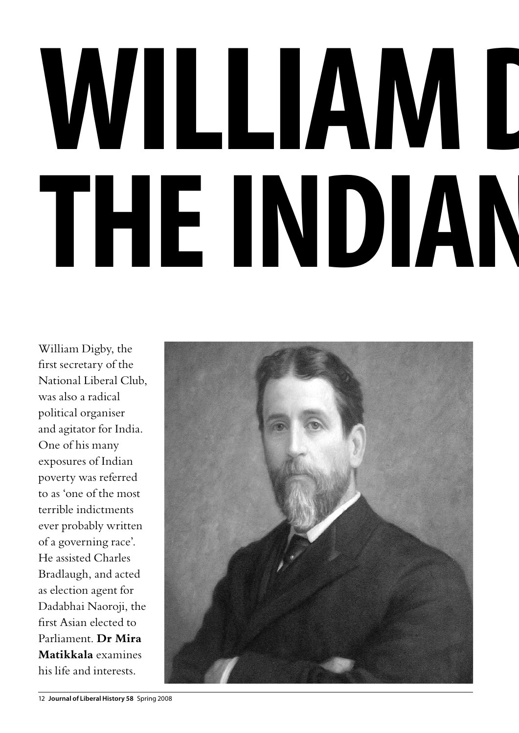## WILLIAM D **theIndian question**

William Digby, the first secretary of the National Liberal Club, was also a radical political organiser and agitator for India. One of his many exposures of Indian poverty was referred to as 'one of the most terrible indictments ever probably written of a governing race'. He assisted Charles Bradlaugh, and acted as election agent for Dadabhai Naoroji, the first Asian elected to Parliament. **Dr Mira Matikkala** examines his life and interests.

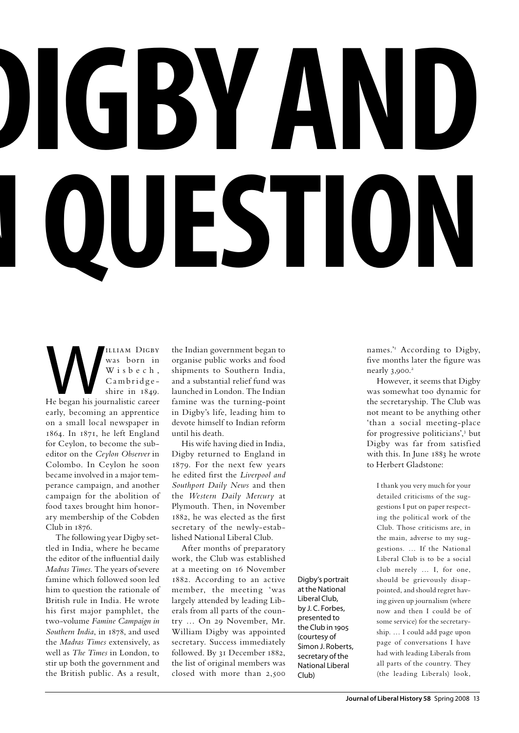# **William Digby and theIndian question**

WILLIAM DIGBY<br>
Was born in<br>
Wisbech,<br>
Cambridge-<br>
Shire in 1849.<br>
He began his journalistic career was born in W i s b e c h , Cambridge shire in 1849. early, becoming an apprentice on a small local newspaper in 1864. In 1871, he left England for Ceylon, to become the subeditor on the *Ceylon Observer* in Colombo. In Ceylon he soon became involved in a major temperance campaign, and another campaign for the abolition of food taxes brought him honorary membership of the Cobden Club in 1876.

The following year Digby settled in India, where he became the editor of the influential daily *Madras Times*. The years of severe famine which followed soon led him to question the rationale of British rule in India. He wrote his first major pamphlet, the two-volume *Famine Campaign in Southern India*, in 1878, and used the *Madras Times* extensively, as well as *The Times* in London, to stir up both the government and the British public. As a result,

the Indian government began to organise public works and food shipments to Southern India, and a substantial relief fund was launched in London. The Indian famine was the turning-point in Digby's life, leading him to devote himself to Indian reform until his death.

His wife having died in India, Digby returned to England in 1879. For the next few years he edited first the *Liverpool and Southport Daily News* and then the *Western Daily Mercury* at Plymouth. Then, in November 1882, he was elected as the first secretary of the newly-established National Liberal Club.

After months of preparatory work, the Club was established at a meeting on 16 November 1882. According to an active member, the meeting 'was largely attended by leading Liberals from all parts of the country … On 29 November, Mr. William Digby was appointed secretary. Success immediately followed. By 31 December 1882, the list of original members was closed with more than 2,500

Digby's portrait at the National Liberal Club, by J. C. Forbes, presented to the Club in 1905 (courtesy of Simon J. Roberts, secretary of the National Liberal Club)

names." According to Digby, five months later the figure was nearly 3,900.<sup>2</sup>

However, it seems that Digby was somewhat too dynamic for the secretaryship. The Club was not meant to be anything other 'than a social meeting-place for progressive politicians',3 but Digby was far from satisfied with this. In June 1883 he wrote to Herbert Gladstone:

I thank you very much for your detailed criticisms of the suggestions I put on paper respecting the political work of the Club. Those criticisms are, in the main, adverse to my suggestions. … If the National Liberal Club is to be a social club merely … I, for one, should be grievously disappointed, and should regret having given up journalism (where now and then I could be of some service) for the secretaryship. … I could add page upon page of conversations I have had with leading Liberals from all parts of the country. They (the leading Liberals) look,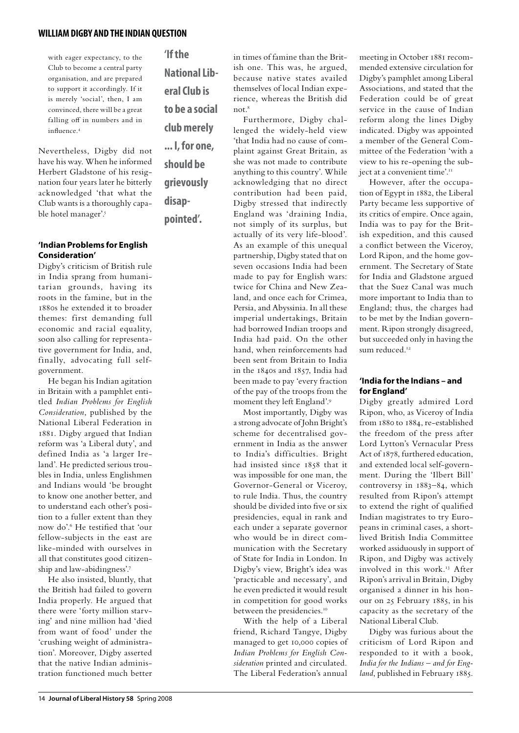with eager expectancy, to the Club to become a central party organisation, and are prepared to support it accordingly. If it is merely 'social', then, I am convinced, there will be a great falling off in numbers and in influence.4

Nevertheless, Digby did not have his way. When he informed Herbert Gladstone of his resignation four years later he bitterly acknowledged 'that what the Club wants is a thoroughly capable hotel manager'.<sup>5</sup>

#### **'Indian Problems for English Consideration'**

Digby's criticism of British rule in India sprang from humanitarian grounds, having its roots in the famine, but in the 1880s he extended it to broader themes: first demanding full economic and racial equality, soon also calling for representative government for India, and, finally, advocating full selfgovernment.

He began his Indian agitation in Britain with a pamphlet entitled *Indian Problems for English Consideration*, published by the National Liberal Federation in 1881. Digby argued that Indian reform was 'a Liberal duty', and defined India as 'a larger Ireland'. He predicted serious troubles in India, unless Englishmen and Indians would 'be brought to know one another better, and to understand each other's position to a fuller extent than they now do'.6 He testified that 'our fellow-subjects in the east are like-minded with ourselves in all that constitutes good citizenship and law-abidingness'.7

He also insisted, bluntly, that the British had failed to govern India properly. He argued that there were 'forty million starving' and nine million had 'died from want of food' under the 'crushing weight of administration'. Moreover, Digby asserted that the native Indian administration functioned much better **'If the National Liberal Club is to be a social club merely ... I, for one, should be grievously disap-**

**pointed'.**

in times of famine than the British one. This was, he argued, because native states availed themselves of local Indian experience, whereas the British did not.<sup>8</sup>

Furthermore, Digby challenged the widely-held view 'that India had no cause of complaint against Great Britain, as she was not made to contribute anything to this country'. While acknowledging that no direct contribution had been paid, Digby stressed that indirectly England was 'draining India, not simply of its surplus, but actually of its very life-blood'. As an example of this unequal partnership, Digby stated that on seven occasions India had been made to pay for English wars: twice for China and New Zealand, and once each for Crimea, Persia, and Abyssinia. In all these imperial undertakings, Britain had borrowed Indian troops and India had paid. On the other hand, when reinforcements had been sent from Britain to India in the 1840s and 1857, India had been made to pay 'every fraction of the pay of the troops from the moment they left England'.9

Most importantly, Digby was a strong advocate of John Bright's scheme for decentralised government in India as the answer to India's difficulties. Bright had insisted since 1858 that it was impossible for one man, the Governor-General or Viceroy, to rule India. Thus, the country should be divided into five or six presidencies, equal in rank and each under a separate governor who would be in direct communication with the Secretary of State for India in London. In Digby's view, Bright's idea was 'practicable and necessary', and he even predicted it would result in competition for good works between the presidencies.<sup>10</sup>

With the help of a Liberal friend, Richard Tangye, Digby managed to get 10,000 copies of *Indian Problems for English Consideration* printed and circulated. The Liberal Federation's annual

meeting in October 1881 recommended extensive circulation for Digby's pamphlet among Liberal Associations, and stated that the Federation could be of great service in the cause of Indian reform along the lines Digby indicated. Digby was appointed a member of the General Committee of the Federation 'with a view to his re-opening the subject at a convenient time'.<sup>11</sup>

However, after the occupation of Egypt in 1882, the Liberal Party became less supportive of its critics of empire. Once again, India was to pay for the British expedition, and this caused a conflict between the Viceroy, Lord Ripon, and the home government. The Secretary of State for India and Gladstone argued that the Suez Canal was much more important to India than to England; thus, the charges had to be met by the Indian government. Ripon strongly disagreed, but succeeded only in having the sum reduced<sup>12</sup>

#### **'India for the Indians – and for England'**

Digby greatly admired Lord Ripon, who, as Viceroy of India from 1880 to 1884, re-established the freedom of the press after Lord Lytton's Vernacular Press Act of 1878, furthered education, and extended local self-government. During the 'Ilbert Bill' controversy in 1883–84, which resulted from Ripon's attempt to extend the right of qualified Indian magistrates to try Europeans in criminal cases, a shortlived British India Committee worked assiduously in support of Ripon, and Digby was actively involved in this work.<sup>13</sup> After Ripon's arrival in Britain, Digby organised a dinner in his honour on 25 February 1885, in his capacity as the secretary of the National Liberal Club.

Digby was furious about the criticism of Lord Ripon and responded to it with a book, *India for the Indians – and for England*, published in February 1885.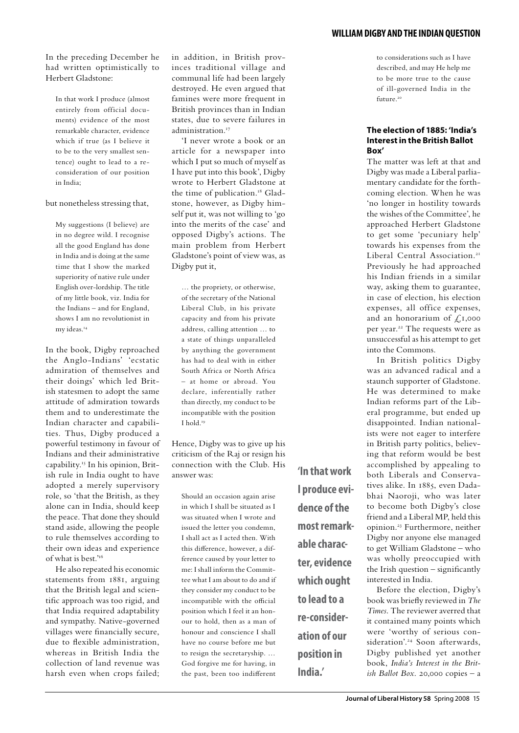#### In the preceding December he had written optimistically to Herbert Gladstone:

In that work I produce (almost entirely from official documents) evidence of the most remarkable character, evidence which if true (as I believe it to be to the very smallest sentence) ought to lead to a reconsideration of our position in India;

#### but nonetheless stressing that,

My suggestions (I believe) are in no degree wild. I recognise all the good England has done in India and is doing at the same time that I show the marked superiority of native rule under English over-lordship. The title of my little book, viz. India for the Indians – and for England, shows I am no revolutionist in my ideas.<sup>14</sup>

In the book, Digby reproached the Anglo-Indians' 'ecstatic admiration of themselves and their doings' which led British statesmen to adopt the same attitude of admiration towards them and to underestimate the Indian character and capabilities. Thus, Digby produced a powerful testimony in favour of Indians and their administrative capability.15 In his opinion, British rule in India ought to have adopted a merely supervisory role, so 'that the British, as they alone can in India, should keep the peace. That done they should stand aside, allowing the people to rule themselves according to their own ideas and experience of what is best.'16

He also repeated his economic statements from 1881, arguing that the British legal and scientific approach was too rigid, and that India required adaptability and sympathy. Native-governed villages were financially secure, due to flexible administration, whereas in British India the collection of land revenue was harsh even when crops failed; in addition, in British provinces traditional village and communal life had been largely destroyed. He even argued that famines were more frequent in British provinces than in Indian states, due to severe failures in administration.<sup>17</sup>

'I never wrote a book or an article for a newspaper into which I put so much of myself as I have put into this book', Digby wrote to Herbert Gladstone at the time of publication.<sup>18</sup> Gladstone, however, as Digby himself put it, was not willing to 'go into the merits of the case' and opposed Digby's actions. The main problem from Herbert Gladstone's point of view was, as Digby put it,

… the propriety, or otherwise, of the secretary of the National Liberal Club, in his private capacity and from his private address, calling attention … to a state of things unparalleled by anything the government has had to deal with in either South Africa or North Africa – at home or abroad. You declare, inferentially rather than directly, my conduct to be incompatible with the position I hold.19

Hence, Digby was to give up his criticism of the Raj or resign his connection with the Club. His answer was:

Should an occasion again arise in which I shall be situated as I was situated when I wrote and issued the letter you condemn, I shall act as I acted then. With this difference, however, a difference caused by your letter to me: I shall inform the Committee what I am about to do and if they consider my conduct to be incompatible with the official position which I feel it an honour to hold, then as a man of honour and conscience I shall have no course before me but to resign the secretaryship. … God forgive me for having, in the past, been too indifferent

**'In that work I produce evidence of the most remarkable character, evidence which ought to lead to a re-consideration of our position in India.'**

to considerations such as I have described, and may He help me to be more true to the cause of ill-governed India in the future.<sup>20</sup>

#### **The election of 1885: 'India's Interest in the British Ballot Box'**

The matter was left at that and Digby was made a Liberal parliamentary candidate for the forthcoming election. When he was 'no longer in hostility towards the wishes of the Committee', he approached Herbert Gladstone to get some 'pecuniary help' towards his expenses from the Liberal Central Association.<sup>21</sup> Previously he had approached his Indian friends in a similar way, asking them to guarantee, in case of election, his election expenses, all office expenses, and an honorarium of  $\zeta_{1,000}$ per year.22 The requests were as unsuccessful as his attempt to get into the Commons.

In British politics Digby was an advanced radical and a staunch supporter of Gladstone. He was determined to make Indian reforms part of the Liberal programme, but ended up disappointed. Indian nationalists were not eager to interfere in British party politics, believing that reform would be best accomplished by appealing to both Liberals and Conservatives alike. In 1885, even Dadabhai Naoroji, who was later to become both Digby's close friend and a Liberal MP, held this opinion.23 Furthermore, neither Digby nor anyone else managed to get William Gladstone – who was wholly preoccupied with the Irish question – significantly interested in India.

Before the election, Digby's book was briefly reviewed in *The Times*. The reviewer averred that it contained many points which were 'worthy of serious consideration'.<sup>24</sup> Soon afterwards, Digby published yet another book, *India's Interest in the British Ballot Box*. 20,000 copies – a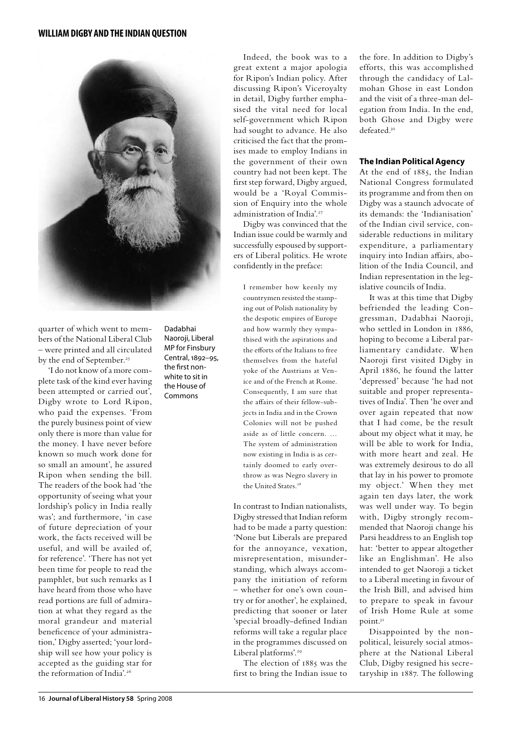

quarter of which went to members of the National Liberal Club – were printed and all circulated by the end of September.<sup>25</sup>

'I do not know of a more complete task of the kind ever having been attempted or carried out', Digby wrote to Lord Ripon, who paid the expenses. 'From the purely business point of view only there is more than value for the money. I have never before known so much work done for so small an amount', he assured Ripon when sending the bill. The readers of the book had 'the opportunity of seeing what your lordship's policy in India really was'; and furthermore, 'in case of future depreciation of your work, the facts received will be useful, and will be availed of, for reference'. 'There has not yet been time for people to read the pamphlet, but such remarks as I have heard from those who have read portions are full of admiration at what they regard as the moral grandeur and material beneficence of your administration,' Digby asserted; 'your lordship will see how your policy is accepted as the guiding star for the reformation of India'.<sup>26</sup>

Dadabhai Naoroji, Liberal MP for Finsbury Central, 1892–95, the first nonwhite to sit in the House of Commons

Indeed, the book was to a great extent a major apologia for Ripon's Indian policy. After discussing Ripon's Viceroyalty in detail, Digby further emphasised the vital need for local self-government which Ripon had sought to advance. He also criticised the fact that the promises made to employ Indians in the government of their own country had not been kept. The first step forward, Digby argued, would be a 'Royal Commission of Enquiry into the whole administration of India'.<sup>27</sup>

Digby was convinced that the Indian issue could be warmly and successfully espoused by supporters of Liberal politics. He wrote confidently in the preface:

I remember how keenly my countrymen resisted the stamping out of Polish nationality by the despotic empires of Europe and how warmly they sympathised with the aspirations and the efforts of the Italians to free themselves from the hateful yoke of the Austrians at Venice and of the French at Rome. Consequently, I am sure that the affairs of their fellow-subjects in India and in the Crown Colonies will not be pushed aside as of little concern. … The system of administration now existing in India is as certainly doomed to early overthrow as was Negro slavery in the United States.<sup>28</sup>

In contrast to Indian nationalists, Digby stressed that Indian reform had to be made a party question: 'None but Liberals are prepared for the annoyance, vexation, misrepresentation, misunderstanding, which always accompany the initiation of reform – whether for one's own country or for another', he explained, predicting that sooner or later 'special broadly-defined Indian reforms will take a regular place in the programmes discussed on Liberal platforms'.<sup>29</sup>

The election of 1885 was the first to bring the Indian issue to the fore. In addition to Digby's efforts, this was accomplished through the candidacy of Lalmohan Ghose in east London and the visit of a three-man delegation from India. In the end, both Ghose and Digby were defeated.30

#### **The Indian Political Agency**

At the end of 1885, the Indian National Congress formulated its programme and from then on Digby was a staunch advocate of its demands: the 'Indianisation' of the Indian civil service, considerable reductions in military expenditure, a parliamentary inquiry into Indian affairs, abolition of the India Council, and Indian representation in the legislative councils of India.

It was at this time that Digby befriended the leading Congressman, Dadabhai Naoroji, who settled in London in 1886, hoping to become a Liberal parliamentary candidate. When Naoroji first visited Digby in April 1886, he found the latter 'depressed' because 'he had not suitable and proper representatives of India'. Then 'he over and over again repeated that now that I had come, be the result about my object what it may, he will be able to work for India, with more heart and zeal. He was extremely desirous to do all that lay in his power to promote my object.' When they met again ten days later, the work was well under way. To begin with, Digby strongly recommended that Naoroji change his Parsi headdress to an English top hat: 'better to appear altogether like an Englishman'. He also intended to get Naoroji a ticket to a Liberal meeting in favour of the Irish Bill, and advised him to prepare to speak in favour of Irish Home Rule at some point.31

Disappointed by the nonpolitical, leisurely social atmosphere at the National Liberal Club, Digby resigned his secretaryship in 1887. The following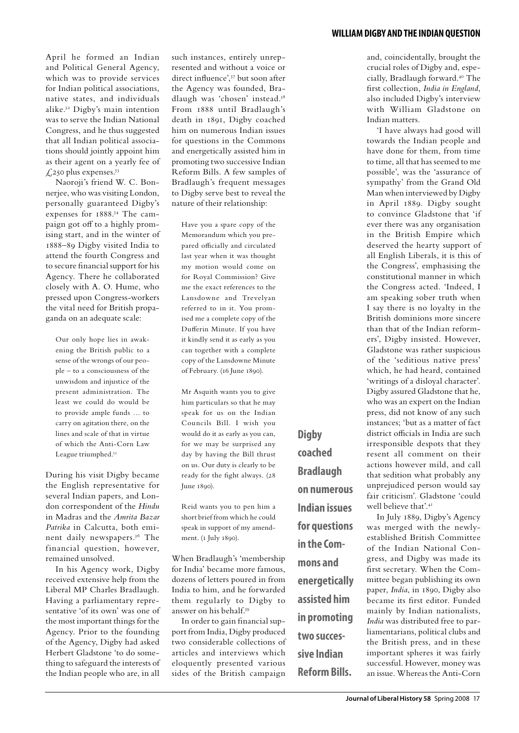April he formed an Indian and Political General Agency, which was to provide services for Indian political associations, native states, and individuals alike.32 Digby's main intention was to serve the Indian National Congress, and he thus suggested that all Indian political associations should jointly appoint him as their agent on a yearly fee of  $\text{\large $\mathcal{L}$}$ ,250 plus expenses.<sup>33</sup>

Naoroji's friend W. C. Bonnerjee, who was visiting London, personally guaranteed Digby's expenses for 1888.34 The campaign got off to a highly promising start, and in the winter of 1888–89 Digby visited India to attend the fourth Congress and to secure financial support for his Agency. There he collaborated closely with A. O. Hume, who pressed upon Congress-workers the vital need for British propaganda on an adequate scale:

Our only hope lies in awakening the British public to a sense of the wrongs of our people – to a consciousness of the unwisdom and injustice of the present administration. The least we could do would be to provide ample funds … to carry on agitation there, on the lines and scale of that in virtue of which the Anti-Corn Law League triumphed.<sup>35</sup>

During his visit Digby became the English representative for several Indian papers, and London correspondent of the *Hindu* in Madras and the *Amrita Bazar Patrika* in Calcutta, both eminent daily newspapers.36 The financial question, however, remained unsolved.

In his Agency work, Digby received extensive help from the Liberal MP Charles Bradlaugh. Having a parliamentary representative 'of its own' was one of the most important things for the Agency. Prior to the founding of the Agency, Digby had asked Herbert Gladstone 'to do something to safeguard the interests of the Indian people who are, in all such instances, entirely unrepresented and without a voice or direct influence',37 but soon after the Agency was founded, Bradlaugh was 'chosen' instead.38 From 1888 until Bradlaugh's death in 1891, Digby coached him on numerous Indian issues for questions in the Commons and energetically assisted him in promoting two successive Indian Reform Bills. A few samples of Bradlaugh's frequent messages to Digby serve best to reveal the nature of their relationship:

Have you a spare copy of the Memorandum which you prepared officially and circulated last year when it was thought my motion would come on for Royal Commission? Give me the exact references to the Lansdowne and Trevelyan referred to in it. You promised me a complete copy of the Dufferin Minute. If you have it kindly send it as early as you can together with a complete copy of the Lansdowne Minute of February. (16 June 1890).

Mr Asquith wants you to give him particulars so that he may speak for us on the Indian Councils Bill. I wish you would do it as early as you can, for we may be surprised any day by having the Bill thrust on us. Our duty is clearly to be ready for the fight always. (28 June 1890).

Reid wants you to pen him a short brief from which he could speak in support of my amendment. (1 July 1890).

When Bradlaugh's 'membership for India' became more famous, dozens of letters poured in from India to him, and he forwarded them regularly to Digby to answer on his behalf.39

In order to gain financial support from India, Digby produced two considerable collections of articles and interviews which eloquently presented various sides of the British campaign

**Digby coached Bradlaugh on numerous Indian issues for questions in the Commons and energetically assisted him in promoting two successive Indian Reform Bills.**

and, coincidentally, brought the crucial roles of Digby and, especially, Bradlaugh forward.40 The first collection, *India in England*, also included Digby's interview with William Gladstone on Indian matters.

'I have always had good will towards the Indian people and have done for them, from time to time, all that has seemed to me possible', was the 'assurance of sympathy' from the Grand Old Man when interviewed by Digby in April 1889. Digby sought to convince Gladstone that 'if ever there was any organisation in the British Empire which deserved the hearty support of all English Liberals, it is this of the Congress', emphasising the constitutional manner in which the Congress acted. 'Indeed, I am speaking sober truth when I say there is no loyalty in the British dominions more sincere than that of the Indian reformers', Digby insisted. However, Gladstone was rather suspicious of the 'seditious native press' which, he had heard, contained 'writings of a disloyal character'. Digby assured Gladstone that he, who was an expert on the Indian press, did not know of any such instances; 'but as a matter of fact district officials in India are such irresponsible despots that they resent all comment on their actions however mild, and call that sedition what probably any unprejudiced person would say fair criticism'. Gladstone 'could well believe that'.41

In July 1889, Digby's Agency was merged with the newlyestablished British Committee of the Indian National Congress, and Digby was made its first secretary. When the Committee began publishing its own paper, *India*, in 1890, Digby also became its first editor. Funded mainly by Indian nationalists, *India* was distributed free to parliamentarians, political clubs and the British press, and in these important spheres it was fairly successful. However, money was an issue. Whereas the Anti-Corn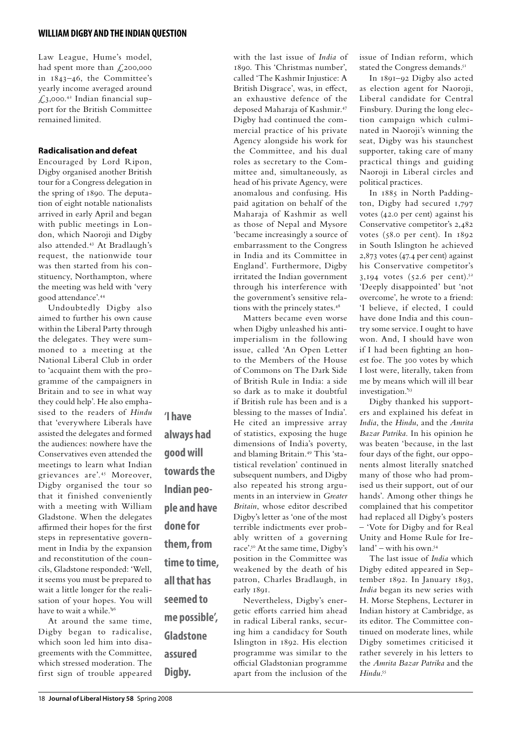Law League, Hume's model, had spent more than £200,000 in 1843–46, the Committee's yearly income averaged around  $\text{\emph{1}}3,000.^{42}$  Indian financial support for the British Committee remained limited.

#### **Radicalisation and defeat**

Encouraged by Lord Ripon, Digby organised another British tour for a Congress delegation in the spring of 1890. The deputation of eight notable nationalists arrived in early April and began with public meetings in London, which Naoroji and Digby also attended.43 At Bradlaugh's request, the nationwide tour was then started from his constituency, Northampton, where the meeting was held with 'very good attendance'.44

Undoubtedly Digby also aimed to further his own cause within the Liberal Party through the delegates. They were summoned to a meeting at the National Liberal Club in order to 'acquaint them with the programme of the campaigners in Britain and to see in what way they could help'. He also emphasised to the readers of *Hindu* that 'everywhere Liberals have assisted the delegates and formed the audiences: nowhere have the Conservatives even attended the meetings to learn what Indian grievances are'.45 Moreover, Digby organised the tour so that it finished conveniently with a meeting with William Gladstone. When the delegates affirmed their hopes for the first steps in representative government in India by the expansion and reconstitution of the councils, Gladstone responded: 'Well, it seems you must be prepared to wait a little longer for the realisation of your hopes. You will have to wait a while.<sup>46</sup>

**'I have** 

**always had** 

**towards the** 

**Indian peo-**

**ple and have** 

**them, from** 

**time to time,** 

**all that has** 

**seemed to** 

**Gladstone** 

**assured** 

**Digby.**

**me possible',** 

**done for** 

**good will** 

At around the same time, Digby began to radicalise, which soon led him into disagreements with the Committee, which stressed moderation. The first sign of trouble appeared

with the last issue of *India* of 1890. This 'Christmas number', called 'The Kashmir Injustice: A British Disgrace', was, in effect, an exhaustive defence of the deposed Maharaja of Kashmir.47 Digby had continued the commercial practice of his private Agency alongside his work for the Committee, and his dual roles as secretary to the Committee and, simultaneously, as head of his private Agency, were anomalous and confusing. His paid agitation on behalf of the Maharaja of Kashmir as well as those of Nepal and Mysore 'became increasingly a source of embarrassment to the Congress in India and its Committee in England'. Furthermore, Digby irritated the Indian government through his interference with the government's sensitive relations with the princely states.<sup>48</sup>

Matters became even worse when Digby unleashed his antiimperialism in the following issue, called 'An Open Letter to the Members of the House of Commons on The Dark Side of British Rule in India: a side so dark as to make it doubtful if British rule has been and is a blessing to the masses of India'. He cited an impressive array of statistics, exposing the huge dimensions of India's poverty, and blaming Britain.49 This 'statistical revelation' continued in subsequent numbers, and Digby also repeated his strong arguments in an interview in *Greater Britain*, whose editor described Digby's letter as 'one of the most terrible indictments ever probably written of a governing race'.50 At the same time, Digby's position in the Committee was weakened by the death of his patron, Charles Bradlaugh, in early 1891. Nevertheless, Digby's ener-

getic efforts carried him ahead in radical Liberal ranks, securing him a candidacy for South Islington in 1892. His election programme was similar to the official Gladstonian programme apart from the inclusion of the issue of Indian reform, which stated the Congress demands.<sup>51</sup>

In 1891–92 Digby also acted as election agent for Naoroji, Liberal candidate for Central Finsbury. During the long election campaign which culminated in Naoroji's winning the seat, Digby was his staunchest supporter, taking care of many practical things and guiding Naoroji in Liberal circles and political practices.

In 1885 in North Paddington, Digby had secured 1,797 votes (42.0 per cent) against his Conservative competitor's 2,482 votes (58.0 per cent). In 1892 in South Islington he achieved 2,873 votes (47.4 per cent) against his Conservative competitor's 3,194 votes  $(52.6 \text{ per cent.})^{52}$ 'Deeply disappointed' but 'not overcome', he wrote to a friend: 'I believe, if elected, I could have done India and this country some service. I ought to have won. And, I should have won if I had been fighting an honest foe. The 300 votes by which I lost were, literally, taken from me by means which will ill bear investigation.'53

Digby thanked his supporters and explained his defeat in *India*, the *Hindu*, and the *Amrita Bazar Patrika*. In his opinion he was beaten 'because, in the last four days of the fight, our opponents almost literally snatched many of those who had promised us their support, out of our hands'. Among other things he complained that his competitor had replaced all Digby's posters – 'Vote for Digby and for Real Unity and Home Rule for Ire $land'$  – with his own.<sup>54</sup>

The last issue of *India* which Digby edited appeared in September 1892. In January 1893, *India* began its new series with H. Morse Stephens, Lecturer in Indian history at Cambridge, as its editor. The Committee continued on moderate lines, while Digby sometimes criticised it rather severely in his letters to the *Amrita Bazar Patrika* and the *Hindu*. 55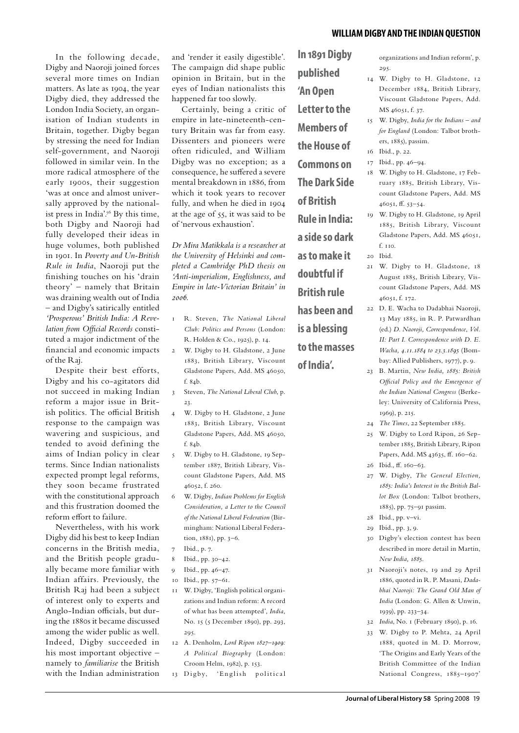In the following decade, Digby and Naoroji joined forces several more times on Indian matters. As late as 1904, the year Digby died, they addressed the London India Society, an organisation of Indian students in Britain, together. Digby began by stressing the need for Indian self-government, and Naoroji followed in similar vein. In the more radical atmosphere of the early 1900s, their suggestion 'was at once and almost universally approved by the nationalist press in India'.<sup>56</sup> By this time, both Digby and Naoroji had fully developed their ideas in huge volumes, both published in 1901. In *Poverty and Un-British Rule in India*, Naoroji put the finishing touches on his 'drain theory' – namely that Britain was draining wealth out of India – and Digby's satirically entitled *'Prosperous' British India: A Revelation from Official Records* constituted a major indictment of the financial and economic impacts of the Raj.

Despite their best efforts, Digby and his co-agitators did not succeed in making Indian reform a major issue in British politics. The official British response to the campaign was wavering and suspicious, and tended to avoid defining the aims of Indian policy in clear terms. Since Indian nationalists expected prompt legal reforms, they soon became frustrated with the constitutional approach and this frustration doomed the reform effort to failure.

Nevertheless, with his work Digby did his best to keep Indian concerns in the British media, and the British people gradually became more familiar with Indian affairs. Previously, the British Raj had been a subject of interest only to experts and Anglo-Indian officials, but during the 1880s it became discussed among the wider public as well. Indeed, Digby succeeded in his most important objective – namely to *familiarise* the British with the Indian administration

and 'render it easily digestible'. The campaign did shape public opinion in Britain, but in the eyes of Indian nationalists this happened far too slowly.

Certainly, being a critic of empire in late-nineteenth-century Britain was far from easy. Dissenters and pioneers were often ridiculed, and William Digby was no exception; as a consequence, he suffered a severe mental breakdown in 1886, from which it took years to recover fully, and when he died in 1904 at the age of 55, it was said to be of 'nervous exhaustion'.

*Dr Mira Matikkala is a researcher at the University of Helsinki and completed a Cambridge PhD thesis on 'Anti-imperialism, Englishness, and Empire in late-Victorian Britain' in 2006.*

- 1 R. Steven, *The National Liberal Club: Politics and Persons* (London: R. Holden & Co., 1925), p. 14.
- 2 W. Digby to H. Gladstone, 2 June 1883, British Library, Viscount Gladstone Papers, Add. MS 46050, f. 84b.
- 3 Steven, *The National Liberal Club*, p. 23.
- 4 W. Digby to H. Gladstone, 2 June 1883, British Library, Viscount Gladstone Papers, Add. MS 46050, f. 84b.
- 5 W. Digby to H. Gladstone, 19 September 1887, British Library, Viscount Gladstone Papers, Add. MS 46052, f. 260.
- 6 W. Digby, *Indian Problems for English Consideration, a Letter to the Council of the National Liberal Federation* (Birmingham: National Liberal Federation, 1881), pp. 3–6.
- 7 Ibid., p. 7.
- 8 Ibid., pp. 30–42.
- 9 Ibid., pp. 46–47.
- 10 Ibid., pp. 57–61.
- 11 W. Digby, 'English political organizations and Indian reform: A record of what has been attempted', *India*, No. 15 (5 December 1890), pp. 293, 295.
- 12 A. Denholm, *Lord Ripon 1827–1909: A Political Biography* (London: Croom Helm, 1982), p. 153.
- 13 Digby, 'English political

**In 1891 Digby published 'An Open Letter to the Members of the House of Commons on The Dark Side of British Rule in India: a side so dark as to make it doubtful if British rule has been and is a blessing to the masses of India'.**

organizations and Indian reform', p. 295.

- 14 W. Digby to H. Gladstone, 12 December 1884, British Library, Viscount Gladstone Papers, Add. MS 46051, f. 37.
- 15 W. Digby, *India for the Indians and for England* (London: Talbot brothers, 1885), passim.
- 16 Ibid., p. 22.
	- 17 Ibid., pp. 46–94.
	- 18 W. Digby to H. Gladstone, 17 February 1885, British Library, Viscount Gladstone Papers, Add. MS 46051, ff. 53–54.
	- 19 W. Digby to H. Gladstone, 19 April 1885, British Library, Viscount Gladstone Papers, Add. MS 46051,  $f$ <sub>IIO</sub>
- 20 Ibid.
- 21 W. Digby to H. Gladstone, 18 August 1885, British Library, Viscount Gladstone Papers, Add. MS 46051, f. 172.
- 22 D. E. Wacha to Dadabhai Naoroji, 13 May 1885, in R. P. Patwardhan (ed.) *D. Naoroji, Correspondence*, *Vol. II: Part I. Correspondence with D. E. Wacha, 4.11.1884 to 23.3.1895* (Bombay: Allied Publishers, 1977), p. 9.
- 23 B. Martin, *New India, 1885: British Official Policy and the Emergence of the Indian National Congress* (Berkeley: University of California Press, 1969), p. 215.
- 24 *The Times*, 22 September 1885.
- 25 W. Digby to Lord Ripon, 26 September 1885, British Library, Ripon Papers, Add. MS 43635, ff. 160-62.
- 26 Ibid., ff. 160–63.
- 27 W. Digby, *The General Election, 1885: India's Interest in the British Ballot Box* (London: Talbot brothers, 1885), pp. 75–91 passim.
- 28 Ibid., pp. v–vi.
- 29 Ibid., pp. 3, 9.
- 30 Digby's election contest has been described in more detail in Martin, *New India, 1885*.
- 31 Naoroji's notes, 19 and 29 April 1886, quoted in R. P. Masani, *Dadabhai Naoroji: The Grand Old Man of India* (London: G. Allen & Unwin, 1939), pp. 233–34.
- 32 *India*, No. 1 (February 1890), p. 16.
- 33 W. Digby to P. Mehta, 24 April 1888, quoted in M. D. Morrow, 'The Origins and Early Years of the British Committee of the Indian National Congress, 1885–1907'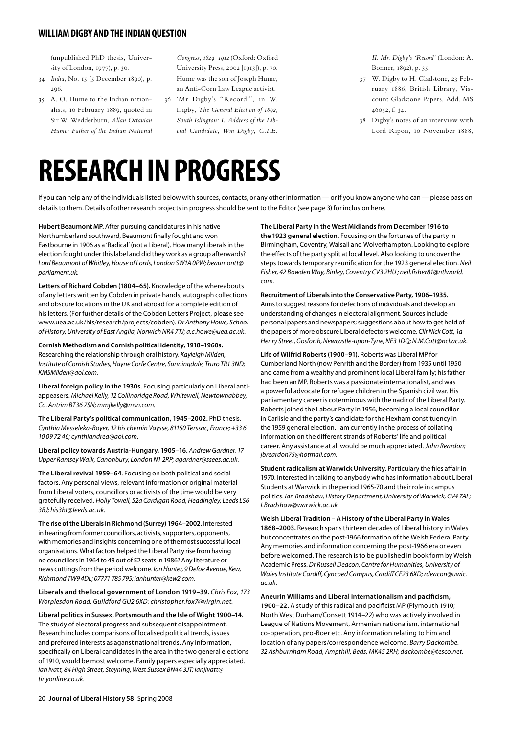(unpublished PhD thesis, University of London, 1977), p. 30.

- 34 *India*, No. 15 (5 December 1890), p. 296.
- 35 A. O. Hume to the Indian nationalists, 10 February 1889, quoted in Sir W. Wedderburn, *Allan Octavian Hume: Father of the Indian National*

*Congress, 1829–1912* (Oxford: Oxford University Press, 2002 [1913]), p. 70. Hume was the son of Joseph Hume, an Anti-Corn Law League activist.

36 'Mr Digby's "Record"', in W. Digby, *The General Election of 1892, South Islington: I. Address of the Liberal Candidate, Wm Digby, C.I.E.*  *II. Mr. Digby's 'Record'* (London: A. Bonner, 1892), p. 35.

- 37 W. Digby to H. Gladstone, 23 February 1886, British Library, Viscount Gladstone Papers, Add. MS 46052, f. 34.
- 38 Digby's notes of an interview with Lord Ripon, 10 November 1888,

### **RESEARCH IN PROGRESS**

If you can help any of the individuals listed below with sources, contacts, or any other information — or if you know anyone who can — please pass on details to them. Details of other research projects in progress should be sent to the Editor (see page 3) for inclusion here.

*com.*

**Hubert Beaumont MP.** After pursuing candidatures in his native Northumberland southward, Beaumont finally fought and won Eastbourne in 1906 as a 'Radical' (not a Liberal). How many Liberals in the election fought under this label and did they work as a group afterwards? *Lord Beaumont of Whitley, House of Lords, London SW1A 0PW; beaumontt@ parliament.uk.*

**Letters of Richard Cobden (1804–65).** Knowledge of the whereabouts of any letters written by Cobden in private hands, autograph collections, and obscure locations in the UK and abroad for a complete edition of his letters. (For further details of the Cobden Letters Project, please see www.uea.ac.uk/his/research/projects/cobden). *Dr Anthony Howe, School of History, University of East Anglia, Norwich NR4 7TJ; a.c.howe@uea.ac.uk.*

**Cornish Methodism and Cornish political identity, 1918–1960s.**  Researching the relationship through oral history. *Kayleigh Milden, Institute of Cornish Studies, Hayne Corfe Centre, Sunningdale, Truro TR1 3ND; KMSMilden@aol.com.*

**Liberal foreign policy in the 1930s.** Focusing particularly on Liberal antiappeasers. *Michael Kelly, 12 Collinbridge Road, Whitewell, Newtownabbey, Co. Antrim BT36 7SN; mmjkelly@msn.com.*

**The Liberal Party's political communication, 1945–2002.** PhD thesis. *Cynthia Messeleka-Boyer, 12 bis chemin Vaysse, 81150 Terssac, France; +33 6 10 09 72 46; cynthiandrea@aol.com.*

**Liberal policy towards Austria-Hungary, 1905–16.** *Andrew Gardner, 17 Upper Ramsey Walk, Canonbury, London N1 2RP; agardner@ssees.ac.uk.*

**The Liberal revival 1959–64**. Focusing on both political and social factors. Any personal views, relevant information or original material from Liberal voters, councillors or activists of the time would be very gratefully received. *Holly Towell, 52a Cardigan Road, Headingley, Leeds LS6 3BJ; his3ht@leeds.ac.uk.*

**The rise of the Liberals in Richmond (Surrey) 1964–2002.** Interested in hearing from former councillors, activists, supporters, opponents, with memories and insights concerning one of the most successful local organisations. What factors helped the Liberal Party rise from having no councillors in 1964 to 49 out of 52 seats in 1986? Any literature or news cuttings from the period welcome. *Ian Hunter, 9 Defoe Avenue, Kew, Richmond TW9 4DL; 07771 785 795; ianhunter@kew2.com.*

**Liberals and the local government of London 1919–39.** *Chris Fox, 173 Worplesdon Road, Guildford GU2 6XD; christopher.fox7@virgin.net.*

**Liberal politics in Sussex, Portsmouth and the Isle of Wight 1900–14.**  The study of electoral progress and subsequent disappointment. Research includes comparisons of localised political trends, issues and preferred interests as aganst national trends. Any information, specifically on Liberal candidates in the area in the two general elections of 1910, would be most welcome. Family papers especially appreciated. *Ian Ivatt, 84 High Street, Steyning, West Sussex BN44 3JT; ianjivatt@ tinyonline.co.uk.*

**The Liberal Party in the West Midlands from December 1916 to the 1923 general election.** Focusing on the fortunes of the party in Birmingham, Coventry, Walsall and Wolverhampton. Looking to explore the effects of the party split at local level. Also looking to uncover the steps towards temporary reunification for the 1923 general election. *Neil Fisher, 42 Bowden Way, Binley, Coventry CV3 2HU ; neil.fisher81@ntlworld.*

**Recruitment of Liberals into the Conservative Party, 1906–1935.**  Aims to suggest reasons for defections of individuals and develop an understanding of changes in electoral alignment. Sources include personal papers and newspapers; suggestions about how to get hold of the papers of more obscure Liberal defectors welcome. *Cllr Nick Cott, 1a Henry Street, Gosforth, Newcastle-upon-Tyne, NE3 1DQ; N.M.Cott@ncl.ac.uk.*

**Life of Wilfrid Roberts (1900–91).** Roberts was Liberal MP for Cumberland North (now Penrith and the Border) from 1935 until 1950 and came from a wealthy and prominent local Liberal family; his father had been an MP. Roberts was a passionate internationalist, and was a powerful advocate for refugee children in the Spanish civil war. His parliamentary career is coterminous with the nadir of the Liberal Party. Roberts joined the Labour Party in 1956, becoming a local councillor in Carlisle and the party's candidate for the Hexham constituency in the 1959 general election. I am currently in the process of collating information on the different strands of Roberts' life and political career. Any assistance at all would be much appreciated. *John Reardon; jbreardon75@hotmail.com.*

**Student radicalism at Warwick University.** Particulary the files affair in 1970. Interested in talking to anybody who has information about Liberal Students at Warwick in the period 1965-70 and their role in campus politics. *Ian Bradshaw, History Department, University of Warwick, CV4 7AL; I.Bradshaw@warwick.ac.uk*

**Welsh Liberal Tradition – A History of the Liberal Party in Wales 1868–2003.** Research spans thirteen decades of Liberal history in Wales but concentrates on the post-1966 formation of the Welsh Federal Party. Any memories and information concerning the post-1966 era or even before welcomed. The research is to be published in book form by Welsh Academic Press. *Dr Russell Deacon, Centre for Humanities, University of Wales Institute Cardiff, Cyncoed Campus, Cardiff CF23 6XD; rdeacon@uwic. ac.uk.*

**Aneurin Williams and Liberal internationalism and pacificism, 1900–22.** A study of this radical and pacificist MP (Plymouth 1910; North West Durham/Consett 1914–22) who was actively involved in League of Nations Movement, Armenian nationalism, international co-operation, pro-Boer etc. Any information relating to him and location of any papers/correspondence welcome. *Barry Dackombe. 32 Ashburnham Road, Ampthill, Beds, MK45 2RH; dackombe@tesco.net.*